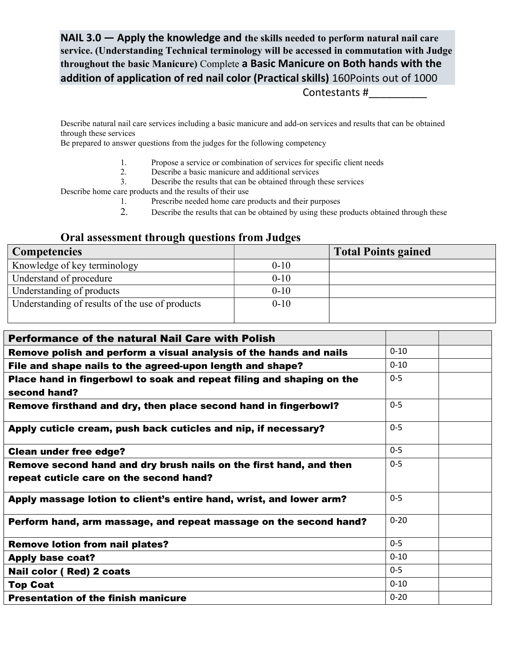NAIL 3.0 — Apply the knowledge and the skills needed to perform natural nail care service. (Understanding Technical terminology will be accessed in commutation with Judge throughout the basic Manicure) Complete a Basic Manicure on Both hands with the addition of application of red nail color (Practical skills) 160Points out of 1000

Contestants #\_\_\_\_\_\_\_\_\_\_

Describe natural nail care services including a basic manicure and add-on services and results that can be obtained through these services

Be prepared to answer questions from the judges for the following competency

- 1. Propose a service or combination of services for specific client needs
- 2. Describe a basic manicure and additional services
- 3. Describe the results that can be obtained through these services

Describe home care products and the results of their use

- 1. Prescribe needed home care products and their purposes
- 2. Describe the results that can be obtained by using these products obtained through these

## Oral assessment through questions from Judges

| <b>Competencies</b>                             |          | <b>Total Points gained</b> |
|-------------------------------------------------|----------|----------------------------|
| Knowledge of key terminology                    | $0-10$   |                            |
| Understand of procedure                         | $0-10$   |                            |
| Understanding of products                       | $0 - 10$ |                            |
| Understanding of results of the use of products | $0 - 10$ |                            |

| <b>Performance of the natural Nail Care with Polish</b>                               |          |  |  |
|---------------------------------------------------------------------------------------|----------|--|--|
| Remove polish and perform a visual analysis of the hands and nails                    | $0 - 10$ |  |  |
| File and shape nails to the agreed-upon length and shape?                             | $0 - 10$ |  |  |
| Place hand in fingerbowl to soak and repeat filing and shaping on the<br>second hand? | $0-5$    |  |  |
| Remove firsthand and dry, then place second hand in fingerbowl?                       | $0 - 5$  |  |  |
| Apply cuticle cream, push back cuticles and nip, if necessary?                        | $0 - 5$  |  |  |
| <b>Clean under free edge?</b>                                                         | $0 - 5$  |  |  |
| Remove second hand and dry brush nails on the first hand, and then                    | $0 - 5$  |  |  |
| repeat cuticle care on the second hand?                                               |          |  |  |
| Apply massage lotion to client's entire hand, wrist, and lower arm?                   | $0 - 5$  |  |  |
| Perform hand, arm massage, and repeat massage on the second hand?                     | $0 - 20$ |  |  |
| <b>Remove lotion from nail plates?</b>                                                | $0 - 5$  |  |  |
| <b>Apply base coat?</b>                                                               | $0 - 10$ |  |  |
| Nail color (Red) 2 coats                                                              | $0 - 5$  |  |  |
| <b>Top Coat</b>                                                                       | $0 - 10$ |  |  |
| <b>Presentation of the finish manicure</b>                                            | $0 - 20$ |  |  |